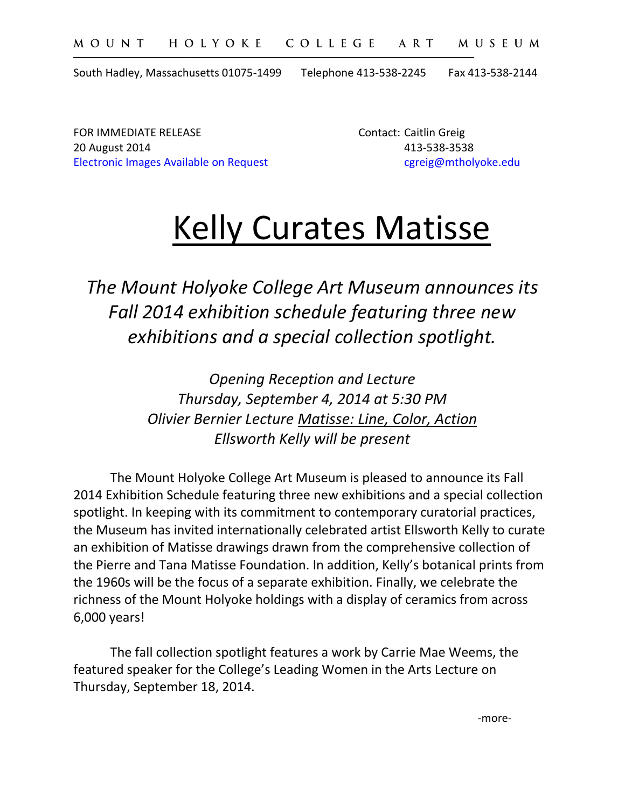South Hadley, Massachusetts 01075-1499 Telephone 413-538-2245 Fax 413-538-2144

\_\_\_\_\_\_\_\_\_\_\_\_\_\_\_\_\_\_\_\_\_\_\_\_\_\_\_\_\_\_\_\_\_\_\_\_\_\_\_\_\_\_\_\_\_\_\_\_\_\_\_\_\_\_\_\_\_\_\_\_\_\_\_\_\_\_\_\_\_\_\_\_\_\_\_\_\_\_\_\_\_\_\_\_\_\_\_\_\_\_\_\_\_\_\_\_\_\_

FOR IMMEDIATE RELEASE **CONTACT CONTACT** CONTACT: Caitlin Greig 20 August 2014 413-538-3538 Electronic Images Available on Request can be career careig@mtholyoke.edu

# Kelly Curates Matisse

*The Mount Holyoke College Art Museum announces its Fall 2014 exhibition schedule featuring three new exhibitions and a special collection spotlight.*

> *Opening Reception and Lecture Thursday, September 4, 2014 at 5:30 PM Olivier Bernier Lecture Matisse: Line, Color, Action Ellsworth Kelly will be present*

The Mount Holyoke College Art Museum is pleased to announce its Fall 2014 Exhibition Schedule featuring three new exhibitions and a special collection spotlight. In keeping with its commitment to contemporary curatorial practices, the Museum has invited internationally celebrated artist Ellsworth Kelly to curate an exhibition of Matisse drawings drawn from the comprehensive collection of the Pierre and Tana Matisse Foundation. In addition, Kelly's botanical prints from the 1960s will be the focus of a separate exhibition. Finally, we celebrate the richness of the Mount Holyoke holdings with a display of ceramics from across 6,000 years!

The fall collection spotlight features a work by Carrie Mae Weems, the featured speaker for the College's Leading Women in the Arts Lecture on Thursday, September 18, 2014.

-more-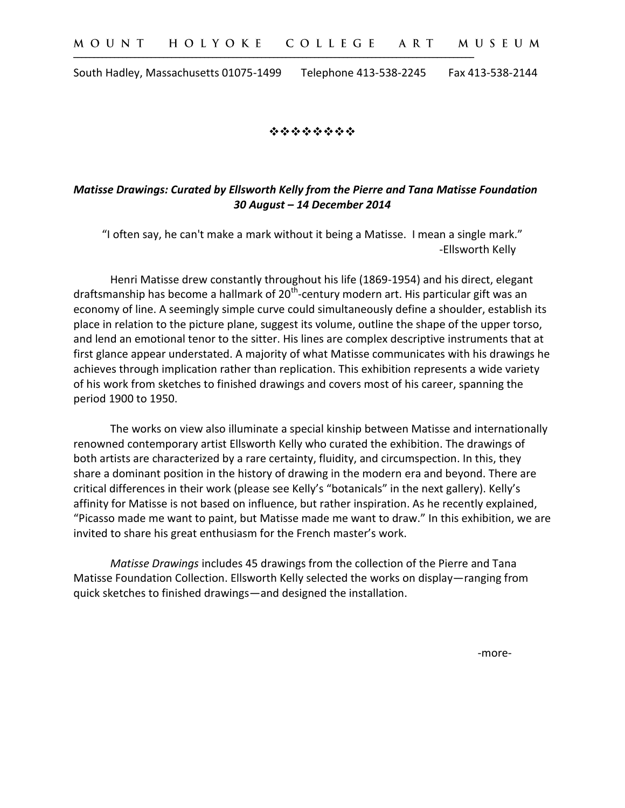\_\_\_\_\_\_\_\_\_\_\_\_\_\_\_\_\_\_\_\_\_\_\_\_\_\_\_\_\_\_\_\_\_\_\_\_\_\_\_\_\_\_\_\_\_\_\_\_\_\_\_\_\_\_\_\_\_\_\_\_\_\_\_\_\_\_\_\_\_\_\_\_\_\_\_\_\_\_\_\_\_\_\_\_\_\_\_\_\_\_\_\_\_\_\_\_\_\_

South Hadley, Massachusetts 01075-1499 Telephone 413-538-2245 Fax 413-538-2144

\*\*\*\*\*\*\*\*

# *Matisse Drawings: Curated by Ellsworth Kelly from the Pierre and Tana Matisse Foundation 30 August – 14 December 2014*

"I often say, he can't make a mark without it being a Matisse. I mean a single mark." -Ellsworth Kelly

Henri Matisse drew constantly throughout his life (1869-1954) and his direct, elegant draftsmanship has become a hallmark of 20<sup>th</sup>-century modern art. His particular gift was an economy of line. A seemingly simple curve could simultaneously define a shoulder, establish its place in relation to the picture plane, suggest its volume, outline the shape of the upper torso, and lend an emotional tenor to the sitter. His lines are complex descriptive instruments that at first glance appear understated. A majority of what Matisse communicates with his drawings he achieves through implication rather than replication. This exhibition represents a wide variety of his work from sketches to finished drawings and covers most of his career, spanning the period 1900 to 1950.

The works on view also illuminate a special kinship between Matisse and internationally renowned contemporary artist Ellsworth Kelly who curated the exhibition. The drawings of both artists are characterized by a rare certainty, fluidity, and circumspection. In this, they share a dominant position in the history of drawing in the modern era and beyond. There are critical differences in their work (please see Kelly's "botanicals" in the next gallery). Kelly's affinity for Matisse is not based on influence, but rather inspiration. As he recently explained, "Picasso made me want to paint, but Matisse made me want to draw." In this exhibition, we are invited to share his great enthusiasm for the French master's work.

*Matisse Drawings* includes 45 drawings from the collection of the Pierre and Tana Matisse Foundation Collection. Ellsworth Kelly selected the works on display—ranging from quick sketches to finished drawings—and designed the installation.

-more-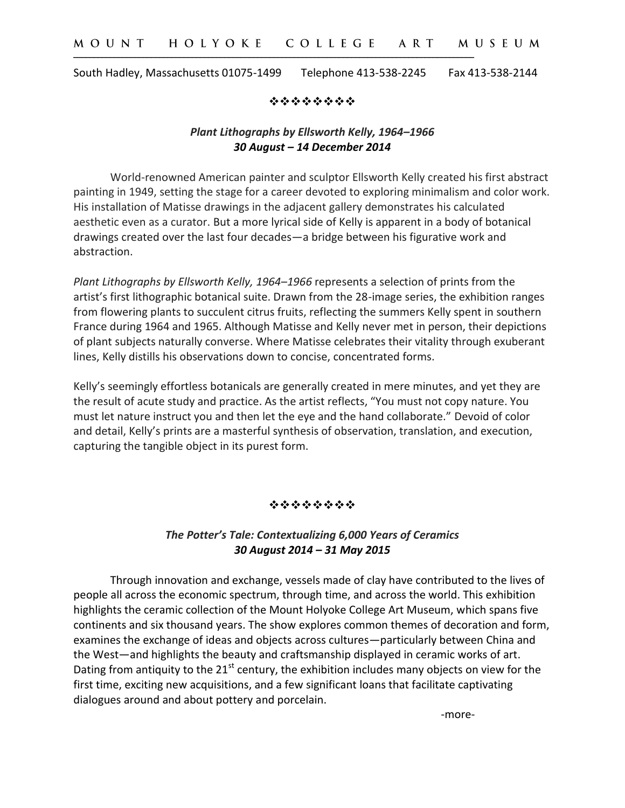\_\_\_\_\_\_\_\_\_\_\_\_\_\_\_\_\_\_\_\_\_\_\_\_\_\_\_\_\_\_\_\_\_\_\_\_\_\_\_\_\_\_\_\_\_\_\_\_\_\_\_\_\_\_\_\_\_\_\_\_\_\_\_\_\_\_\_\_\_\_\_\_\_\_\_\_\_\_\_\_\_\_\_\_\_\_\_\_\_\_\_\_\_\_\_\_\_\_

South Hadley, Massachusetts 01075-1499 Telephone 413-538-2245 Fax 413-538-2144

\*\*\*\*\*\*\*\*

## *Plant Lithographs by Ellsworth Kelly, 1964–1966 30 August – 14 December 2014*

World-renowned American painter and sculptor Ellsworth Kelly created his first abstract painting in 1949, setting the stage for a career devoted to exploring minimalism and color work. His installation of Matisse drawings in the adjacent gallery demonstrates his calculated aesthetic even as a curator. But a more lyrical side of Kelly is apparent in a body of botanical drawings created over the last four decades—a bridge between his figurative work and abstraction.

*Plant Lithographs by Ellsworth Kelly, 1964–1966* represents a selection of prints from the artist's first lithographic botanical suite. Drawn from the 28-image series, the exhibition ranges from flowering plants to succulent citrus fruits, reflecting the summers Kelly spent in southern France during 1964 and 1965. Although Matisse and Kelly never met in person, their depictions of plant subjects naturally converse. Where Matisse celebrates their vitality through exuberant lines, Kelly distills his observations down to concise, concentrated forms.

Kelly's seemingly effortless botanicals are generally created in mere minutes, and yet they are the result of acute study and practice. As the artist reflects, "You must not copy nature. You must let nature instruct you and then let the eye and the hand collaborate." Devoid of color and detail, Kelly's prints are a masterful synthesis of observation, translation, and execution, capturing the tangible object in its purest form.

#### \*\*\*\*\*\*\*\*

### *The Potter's Tale: Contextualizing 6,000 Years of Ceramics 30 August 2014 – 31 May 2015*

Through innovation and exchange, vessels made of clay have contributed to the lives of people all across the economic spectrum, through time, and across the world. This exhibition highlights the ceramic collection of the Mount Holyoke College Art Museum, which spans five continents and six thousand years. The show explores common themes of decoration and form, examines the exchange of ideas and objects across cultures—particularly between China and the West—and highlights the beauty and craftsmanship displayed in ceramic works of art. Dating from antiquity to the  $21<sup>st</sup>$  century, the exhibition includes many objects on view for the first time, exciting new acquisitions, and a few significant loans that facilitate captivating dialogues around and about pottery and porcelain.

-more-